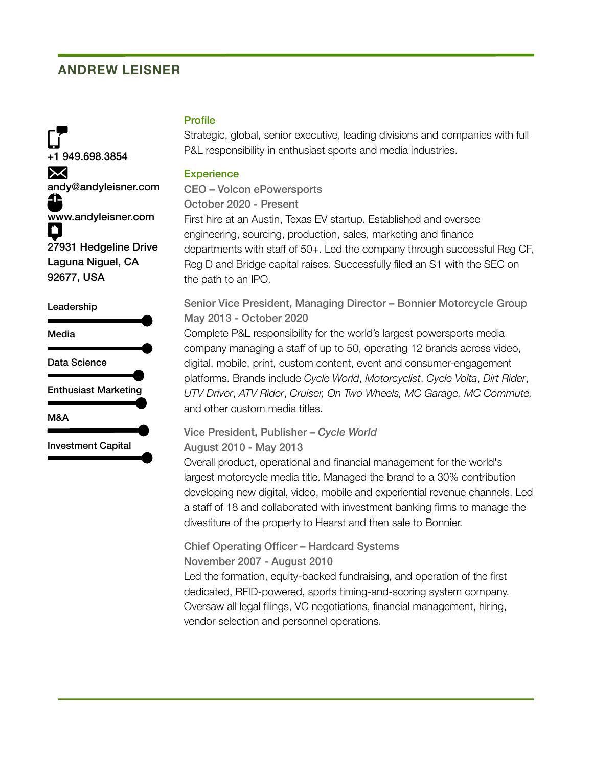## **ANDREW LEISNER**

+1 949.698.3854  $\mathsf{X}$ andy@andyleisner.com www.andyleisner.com  $\bullet$ 27931 Hedgeline Drive Laguna Niguel, CA 92677, USA

#### Leadership



### **Profile**

Strategic, global, senior executive, leading divisions and companies with full P&L responsibility in enthusiast sports and media industries.

### **Experience**

CEO – Volcon ePowersports October 2020 - Present First hire at an Austin, Texas EV startup. Established and oversee engineering, sourcing, production, sales, marketing and finance departments with staff of 50+. Led the company through successful Reg CF, Reg D and Bridge capital raises. Successfully filed an S1 with the SEC on the path to an IPO.

Senior Vice President, Managing Director – Bonnier Motorcycle Group May 2013 - October 2020

Complete P&L responsibility for the world's largest powersports media company managing a staff of up to 50, operating 12 brands across video, digital, mobile, print, custom content, event and consumer-engagement platforms. Brands include *Cycle World*, *Motorcyclist*, *Cycle Volta*, *Dirt Rider*, *UTV Driver*, *ATV Rider*, *Cruiser, On Two Wheels, MC Garage, MC Commute,* and other custom media titles.

# Vice President, Publisher – *Cycle World*

August 2010 - May 2013

Overall product, operational and financial management for the world's largest motorcycle media title. Managed the brand to a 30% contribution developing new digital, video, mobile and experiential revenue channels. Led a staff of 18 and collaborated with investment banking firms to manage the divestiture of the property to Hearst and then sale to Bonnier.

Chief Operating Officer – Hardcard Systems November 2007 - August 2010

Led the formation, equity-backed fundraising, and operation of the first dedicated, RFID-powered, sports timing-and-scoring system company. Oversaw all legal filings, VC negotiations, financial management, hiring, vendor selection and personnel operations.